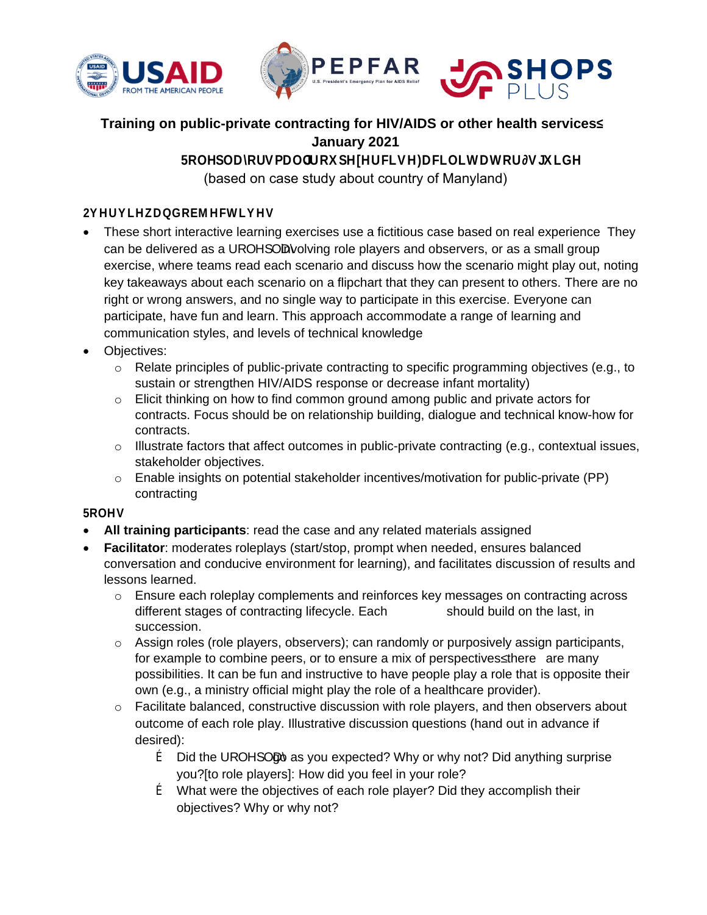



# **Training on public-private contracting for HIV/AIDS or other health services² January 2021**

5ROHSODRUVPDOORSHIHUFLVH)DFLOLWDWRUTKGH (based on case study about country of Manyland)

# **2MUMDQMHFWMV**

- These short interactive learning exercises use a fictitious case based on real experience They can be delivered as a UROHSOD Nolving role players and observers, or as a small group exercise, where teams read each scenario and discuss how the scenario might play out, noting key takeaways about each scenario on a flipchart that they can present to others. There are no right or wrong answers, and no single way to participate in this exercise. Everyone can participate, have fun and learn. This approach accommodate a range of learning and communication styles, and levels of technical knowledge
- Objectives:
	- $\circ$  Relate principles of public-private contracting to specific programming objectives (e.g., to sustain or strengthen HIV/AIDS response or decrease infant mortality)
	- $\circ$  Elicit thinking on how to find common ground among public and private actors for contracts. Focus should be on relationship building, dialogue and technical know-how for contracts.
	- $\circ$  Illustrate factors that affect outcomes in public-private contracting (e.g., contextual issues, stakeholder objectives.
	- $\circ$  Enable insights on potential stakeholder incentives/motivation for public-private (PP) contracting

### 5ROHV

- **All training participants**: read the case and any related materials assigned
- **Facilitator**: moderates roleplays (start/stop, prompt when needed, ensures balanced conversation and conducive environment for learning), and facilitates discussion of results and lessons learned.
	- $\circ$  Ensure each roleplay complements and reinforces key messages on contracting across different stages of contracting lifecycle. Each UROHSODDould build on the last, in succession.
	- o Assign roles (role players, observers); can randomly or purposively assign participants, for example to combine peers, or to ensure a mix of perspectives there are many possibilities. It can be fun and instructive to have people play a role that is opposite their own (e.g., a ministry official might play the role of a healthcare provider).
	- o Facilitate balanced, constructive discussion with role players, and then observers about outcome of each role play. Illustrative discussion questions (hand out in advance if desired):
		- $f$  Did the UROHSO to as you expected? Why or why not? Did anything surprise you?[to role players]: How did you feel in your role?
		- ƒ What were the objectives of each role player? Did they accomplish their objectives? Why or why not?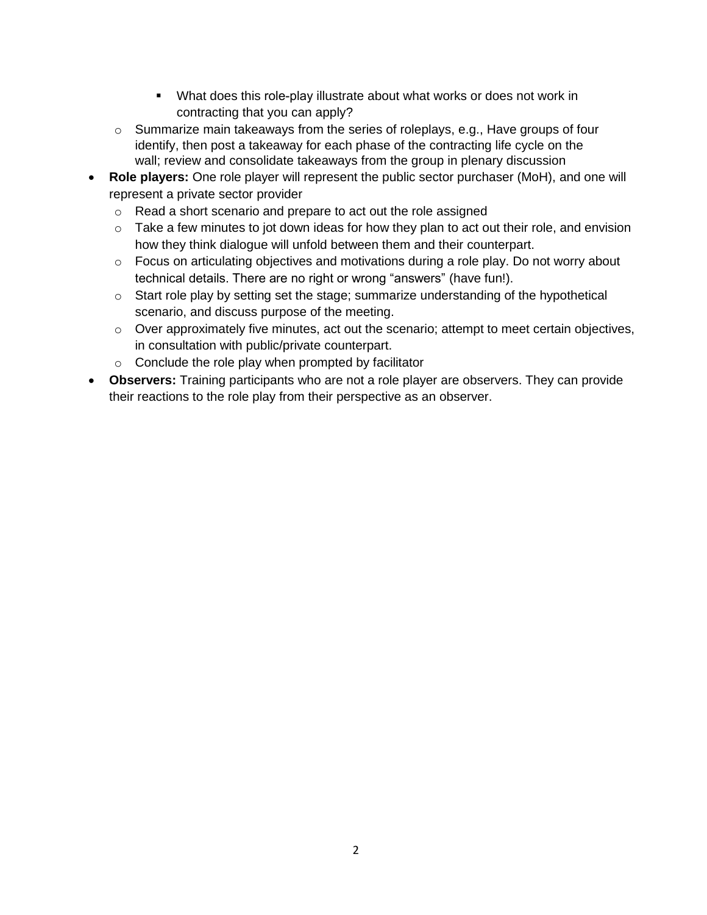- What does this role-play illustrate about what works or does not work in contracting that you can apply?
- $\circ$  Summarize main takeaways from the series of roleplays, e.g., Have groups of four identify, then post a takeaway for each phase of the contracting life cycle on the wall; review and consolidate takeaways from the group in plenary discussion
- **Role players:** One role player will represent the public sector purchaser (MoH), and one will represent a private sector provider
	- o Read a short scenario and prepare to act out the role assigned
	- $\circ$  Take a few minutes to jot down ideas for how they plan to act out their role, and envision how they think dialogue will unfold between them and their counterpart.
	- o Focus on articulating objectives and motivations during a role play. Do not worry about technical details. There are no right or wrong "answers" (have fun!).
	- $\circ$  Start role play by setting set the stage; summarize understanding of the hypothetical scenario, and discuss purpose of the meeting.
	- o Over approximately five minutes, act out the scenario; attempt to meet certain objectives, in consultation with public/private counterpart.
	- o Conclude the role play when prompted by facilitator
- **Observers:** Training participants who are not a role player are observers. They can provide their reactions to the role play from their perspective as an observer.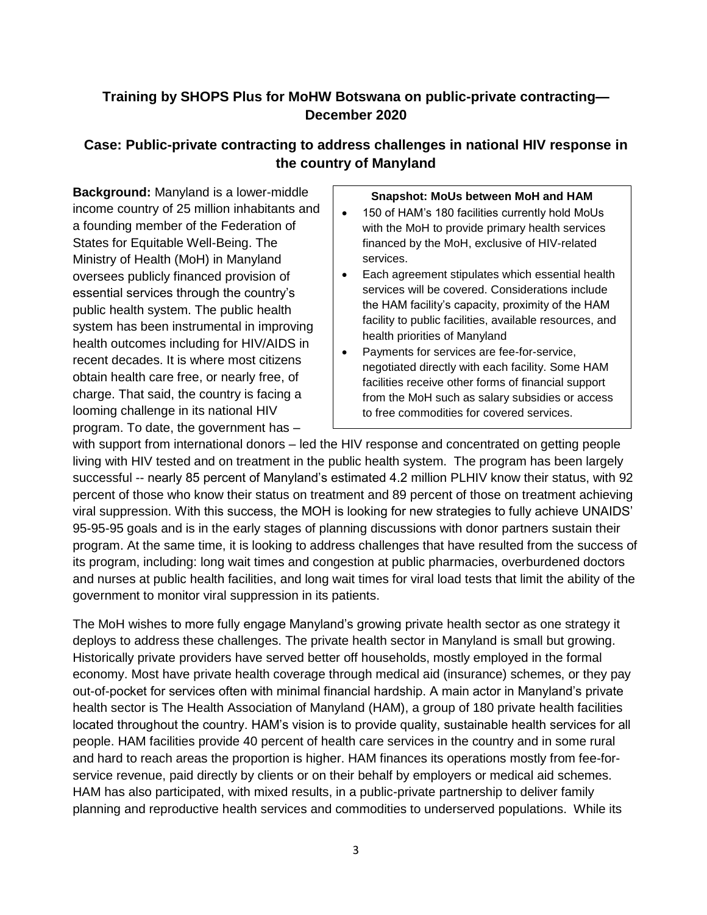# **Training by SHOPS Plus for MoHW Botswana on public-private contracting— December 2020**

# **Case: Public-private contracting to address challenges in national HIV response in the country of Manyland**

**Background:** Manyland is a lower-middle income country of 25 million inhabitants and a founding member of the Federation of States for Equitable Well-Being. The Ministry of Health (MoH) in Manyland oversees publicly financed provision of essential services through the country's public health system. The public health system has been instrumental in improving health outcomes including for HIV/AIDS in recent decades. It is where most citizens obtain health care free, or nearly free, of charge. That said, the country is facing a looming challenge in its national HIV program. To date, the government has –

#### **Snapshot: MoUs between MoH and HAM**

- 150 of HAM's 180 facilities currently hold MoUs with the MoH to provide primary health services financed by the MoH, exclusive of HIV-related services.
- Each agreement stipulates which essential health services will be covered. Considerations include the HAM facility's capacity, proximity of the HAM facility to public facilities, available resources, and health priorities of Manyland
- Payments for services are fee-for-service, negotiated directly with each facility. Some HAM facilities receive other forms of financial support from the MoH such as salary subsidies or access to free commodities for covered services.

with support from international donors – led the HIV response and concentrated on getting people living with HIV tested and on treatment in the public health system. The program has been largely successful -- nearly 85 percent of Manyland's estimated 4.2 million PLHIV know their status, with 92 percent of those who know their status on treatment and 89 percent of those on treatment achieving viral suppression. With this success, the MOH is looking for new strategies to fully achieve UNAIDS' 95-95-95 goals and is in the early stages of planning discussions with donor partners sustain their program. At the same time, it is looking to address challenges that have resulted from the success of its program, including: long wait times and congestion at public pharmacies, overburdened doctors and nurses at public health facilities, and long wait times for viral load tests that limit the ability of the government to monitor viral suppression in its patients.

The MoH wishes to more fully engage Manyland's growing private health sector as one strategy it deploys to address these challenges. The private health sector in Manyland is small but growing. Historically private providers have served better off households, mostly employed in the formal economy. Most have private health coverage through medical aid (insurance) schemes, or they pay out-of-pocket for services often with minimal financial hardship. A main actor in Manyland's private health sector is The Health Association of Manyland (HAM), a group of 180 private health facilities located throughout the country. HAM's vision is to provide quality, sustainable health services for all people. HAM facilities provide 40 percent of health care services in the country and in some rural and hard to reach areas the proportion is higher. HAM finances its operations mostly from fee-forservice revenue, paid directly by clients or on their behalf by employers or medical aid schemes. HAM has also participated, with mixed results, in a public-private partnership to deliver family planning and reproductive health services and commodities to underserved populations. While its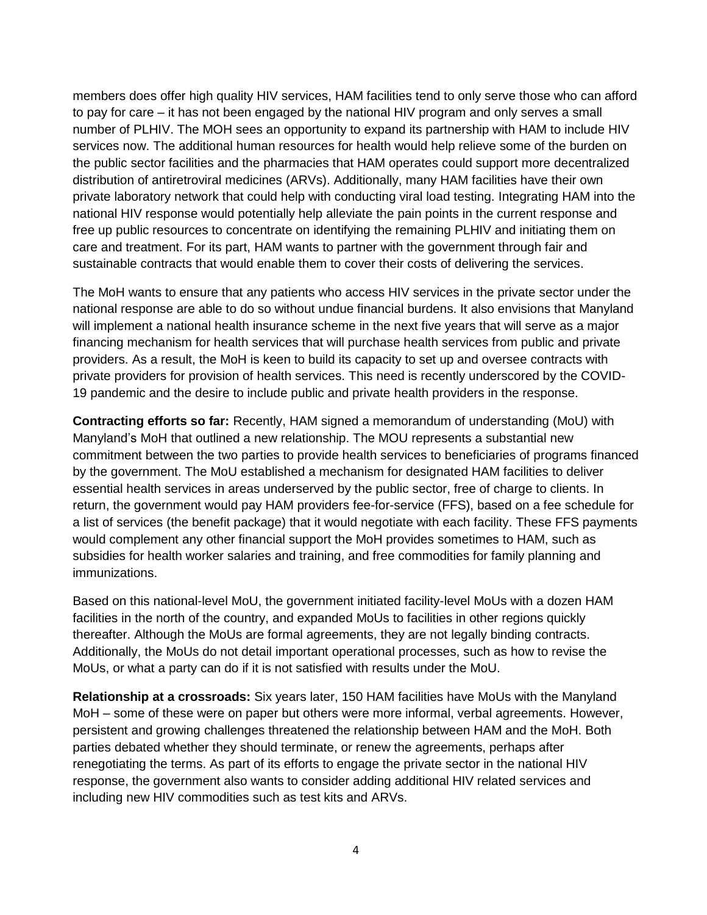members does offer high quality HIV services, HAM facilities tend to only serve those who can afford to pay for care – it has not been engaged by the national HIV program and only serves a small number of PLHIV. The MOH sees an opportunity to expand its partnership with HAM to include HIV services now. The additional human resources for health would help relieve some of the burden on the public sector facilities and the pharmacies that HAM operates could support more decentralized distribution of antiretroviral medicines (ARVs). Additionally, many HAM facilities have their own private laboratory network that could help with conducting viral load testing. Integrating HAM into the national HIV response would potentially help alleviate the pain points in the current response and free up public resources to concentrate on identifying the remaining PLHIV and initiating them on care and treatment. For its part, HAM wants to partner with the government through fair and sustainable contracts that would enable them to cover their costs of delivering the services.

The MoH wants to ensure that any patients who access HIV services in the private sector under the national response are able to do so without undue financial burdens. It also envisions that Manyland will implement a national health insurance scheme in the next five years that will serve as a major financing mechanism for health services that will purchase health services from public and private providers. As a result, the MoH is keen to build its capacity to set up and oversee contracts with private providers for provision of health services. This need is recently underscored by the COVID-19 pandemic and the desire to include public and private health providers in the response.

**Contracting efforts so far:** Recently, HAM signed a memorandum of understanding (MoU) with Manyland's MoH that outlined a new relationship. The MOU represents a substantial new commitment between the two parties to provide health services to beneficiaries of programs financed by the government. The MoU established a mechanism for designated HAM facilities to deliver essential health services in areas underserved by the public sector, free of charge to clients. In return, the government would pay HAM providers fee-for-service (FFS), based on a fee schedule for a list of services (the benefit package) that it would negotiate with each facility. These FFS payments would complement any other financial support the MoH provides sometimes to HAM, such as subsidies for health worker salaries and training, and free commodities for family planning and immunizations.

Based on this national-level MoU, the government initiated facility-level MoUs with a dozen HAM facilities in the north of the country, and expanded MoUs to facilities in other regions quickly thereafter. Although the MoUs are formal agreements, they are not legally binding contracts. Additionally, the MoUs do not detail important operational processes, such as how to revise the MoUs, or what a party can do if it is not satisfied with results under the MoU.

**Relationship at a crossroads:** Six years later, 150 HAM facilities have MoUs with the Manyland MoH – some of these were on paper but others were more informal, verbal agreements. However, persistent and growing challenges threatened the relationship between HAM and the MoH. Both parties debated whether they should terminate, or renew the agreements, perhaps after renegotiating the terms. As part of its efforts to engage the private sector in the national HIV response, the government also wants to consider adding additional HIV related services and including new HIV commodities such as test kits and ARVs.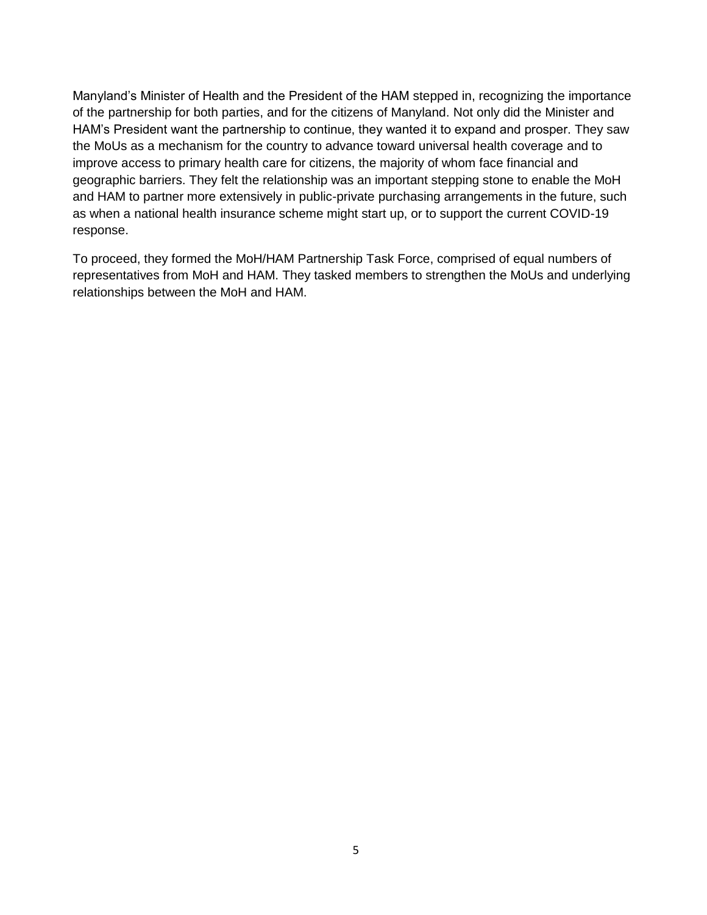Manyland's Minister of Health and the President of the HAM stepped in, recognizing the importance of the partnership for both parties, and for the citizens of Manyland. Not only did the Minister and HAM's President want the partnership to continue, they wanted it to expand and prosper. They saw the MoUs as a mechanism for the country to advance toward universal health coverage and to improve access to primary health care for citizens, the majority of whom face financial and geographic barriers. They felt the relationship was an important stepping stone to enable the MoH and HAM to partner more extensively in public-private purchasing arrangements in the future, such as when a national health insurance scheme might start up, or to support the current COVID-19 response.

To proceed, they formed the MoH/HAM Partnership Task Force, comprised of equal numbers of representatives from MoH and HAM. They tasked members to strengthen the MoUs and underlying relationships between the MoH and HAM.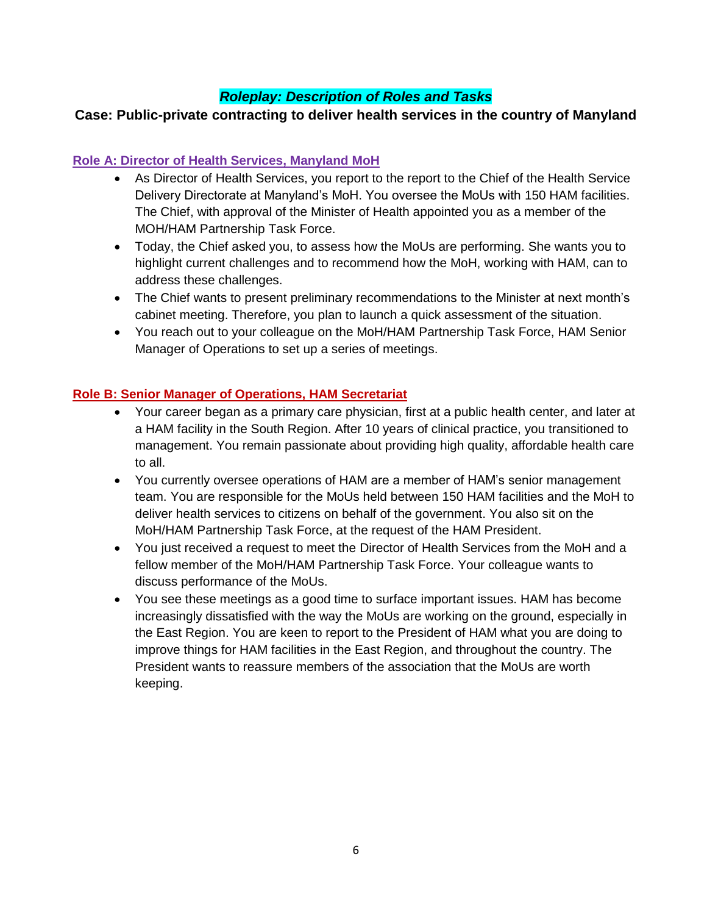# *Roleplay: Description of Roles and Tasks*

### **Case: Public-private contracting to deliver health services in the country of Manyland**

#### **Role A: Director of Health Services, Manyland MoH**

- As Director of Health Services, you report to the report to the Chief of the Health Service Delivery Directorate at Manyland's MoH. You oversee the MoUs with 150 HAM facilities. The Chief, with approval of the Minister of Health appointed you as a member of the MOH/HAM Partnership Task Force.
- Today, the Chief asked you, to assess how the MoUs are performing. She wants you to highlight current challenges and to recommend how the MoH, working with HAM, can to address these challenges.
- The Chief wants to present preliminary recommendations to the Minister at next month's cabinet meeting. Therefore, you plan to launch a quick assessment of the situation.
- You reach out to your colleague on the MoH/HAM Partnership Task Force, HAM Senior Manager of Operations to set up a series of meetings.

#### **Role B: Senior Manager of Operations, HAM Secretariat**

- Your career began as a primary care physician, first at a public health center, and later at a HAM facility in the South Region. After 10 years of clinical practice, you transitioned to management. You remain passionate about providing high quality, affordable health care to all.
- You currently oversee operations of HAM are a member of HAM's senior management team. You are responsible for the MoUs held between 150 HAM facilities and the MoH to deliver health services to citizens on behalf of the government. You also sit on the MoH/HAM Partnership Task Force, at the request of the HAM President.
- You just received a request to meet the Director of Health Services from the MoH and a fellow member of the MoH/HAM Partnership Task Force. Your colleague wants to discuss performance of the MoUs.
- You see these meetings as a good time to surface important issues. HAM has become increasingly dissatisfied with the way the MoUs are working on the ground, especially in the East Region. You are keen to report to the President of HAM what you are doing to improve things for HAM facilities in the East Region, and throughout the country. The President wants to reassure members of the association that the MoUs are worth keeping.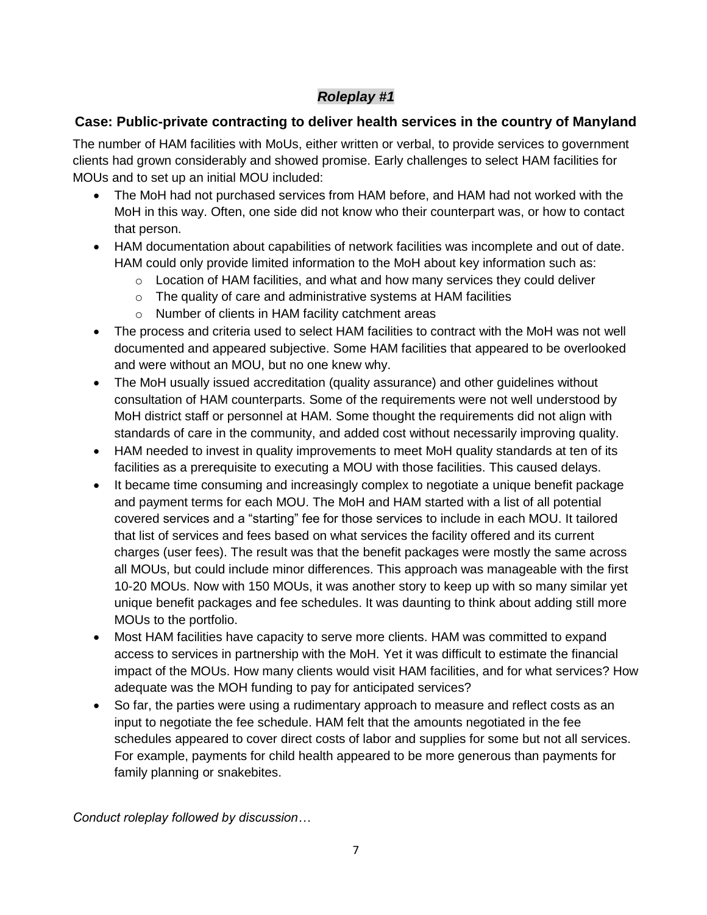# *Roleplay #1*

# **Case: Public-private contracting to deliver health services in the country of Manyland**

The number of HAM facilities with MoUs, either written or verbal, to provide services to government clients had grown considerably and showed promise. Early challenges to select HAM facilities for MOUs and to set up an initial MOU included:

- The MoH had not purchased services from HAM before, and HAM had not worked with the MoH in this way. Often, one side did not know who their counterpart was, or how to contact that person.
- HAM documentation about capabilities of network facilities was incomplete and out of date. HAM could only provide limited information to the MoH about key information such as:
	- o Location of HAM facilities, and what and how many services they could deliver
	- o The quality of care and administrative systems at HAM facilities
	- o Number of clients in HAM facility catchment areas
- The process and criteria used to select HAM facilities to contract with the MoH was not well documented and appeared subjective. Some HAM facilities that appeared to be overlooked and were without an MOU, but no one knew why.
- The MoH usually issued accreditation (quality assurance) and other guidelines without consultation of HAM counterparts. Some of the requirements were not well understood by MoH district staff or personnel at HAM. Some thought the requirements did not align with standards of care in the community, and added cost without necessarily improving quality.
- HAM needed to invest in quality improvements to meet MoH quality standards at ten of its facilities as a prerequisite to executing a MOU with those facilities. This caused delays.
- It became time consuming and increasingly complex to negotiate a unique benefit package and payment terms for each MOU. The MoH and HAM started with a list of all potential covered services and a "starting" fee for those services to include in each MOU. It tailored that list of services and fees based on what services the facility offered and its current charges (user fees). The result was that the benefit packages were mostly the same across all MOUs, but could include minor differences. This approach was manageable with the first 10-20 MOUs. Now with 150 MOUs, it was another story to keep up with so many similar yet unique benefit packages and fee schedules. It was daunting to think about adding still more MOUs to the portfolio.
- Most HAM facilities have capacity to serve more clients. HAM was committed to expand access to services in partnership with the MoH. Yet it was difficult to estimate the financial impact of the MOUs. How many clients would visit HAM facilities, and for what services? How adequate was the MOH funding to pay for anticipated services?
- So far, the parties were using a rudimentary approach to measure and reflect costs as an input to negotiate the fee schedule. HAM felt that the amounts negotiated in the fee schedules appeared to cover direct costs of labor and supplies for some but not all services. For example, payments for child health appeared to be more generous than payments for family planning or snakebites.

*Conduct roleplay followed by discussion…*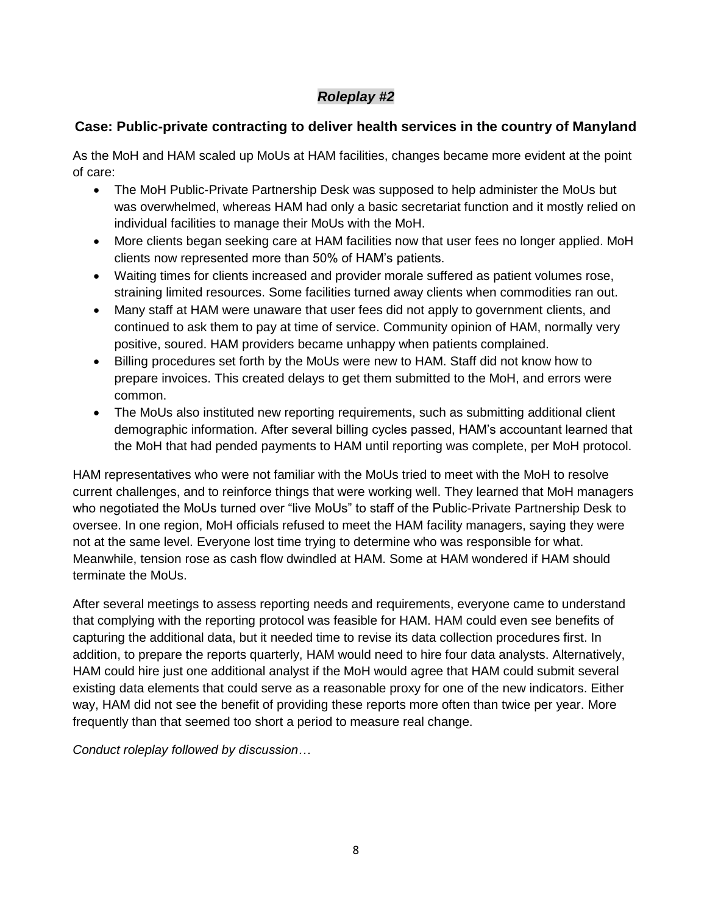# *Roleplay #2*

# **Case: Public-private contracting to deliver health services in the country of Manyland**

As the MoH and HAM scaled up MoUs at HAM facilities, changes became more evident at the point of care:

- The MoH Public-Private Partnership Desk was supposed to help administer the MoUs but was overwhelmed, whereas HAM had only a basic secretariat function and it mostly relied on individual facilities to manage their MoUs with the MoH.
- More clients began seeking care at HAM facilities now that user fees no longer applied. MoH clients now represented more than 50% of HAM's patients.
- Waiting times for clients increased and provider morale suffered as patient volumes rose, straining limited resources. Some facilities turned away clients when commodities ran out.
- Many staff at HAM were unaware that user fees did not apply to government clients, and continued to ask them to pay at time of service. Community opinion of HAM, normally very positive, soured. HAM providers became unhappy when patients complained.
- Billing procedures set forth by the MoUs were new to HAM. Staff did not know how to prepare invoices. This created delays to get them submitted to the MoH, and errors were common.
- The MoUs also instituted new reporting requirements, such as submitting additional client demographic information. After several billing cycles passed, HAM's accountant learned that the MoH that had pended payments to HAM until reporting was complete, per MoH protocol.

HAM representatives who were not familiar with the MoUs tried to meet with the MoH to resolve current challenges, and to reinforce things that were working well. They learned that MoH managers who negotiated the MoUs turned over "live MoUs" to staff of the Public-Private Partnership Desk to oversee. In one region, MoH officials refused to meet the HAM facility managers, saying they were not at the same level. Everyone lost time trying to determine who was responsible for what. Meanwhile, tension rose as cash flow dwindled at HAM. Some at HAM wondered if HAM should terminate the MoUs.

After several meetings to assess reporting needs and requirements, everyone came to understand that complying with the reporting protocol was feasible for HAM. HAM could even see benefits of capturing the additional data, but it needed time to revise its data collection procedures first. In addition, to prepare the reports quarterly, HAM would need to hire four data analysts. Alternatively, HAM could hire just one additional analyst if the MoH would agree that HAM could submit several existing data elements that could serve as a reasonable proxy for one of the new indicators. Either way, HAM did not see the benefit of providing these reports more often than twice per year. More frequently than that seemed too short a period to measure real change.

*Conduct roleplay followed by discussion…*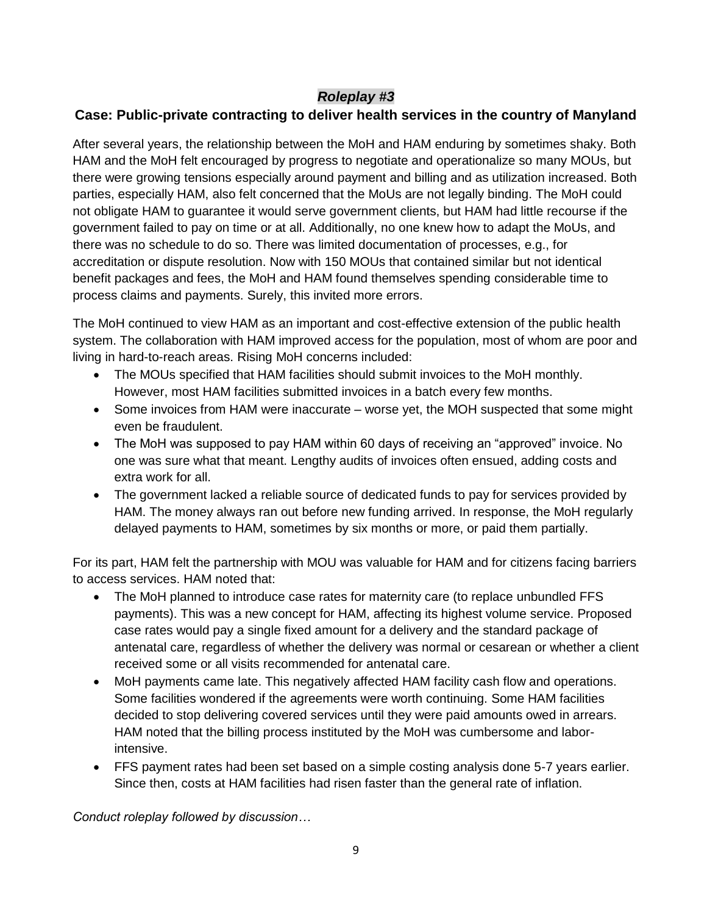# *Roleplay #3*

# **Case: Public-private contracting to deliver health services in the country of Manyland**

After several years, the relationship between the MoH and HAM enduring by sometimes shaky. Both HAM and the MoH felt encouraged by progress to negotiate and operationalize so many MOUs, but there were growing tensions especially around payment and billing and as utilization increased. Both parties, especially HAM, also felt concerned that the MoUs are not legally binding. The MoH could not obligate HAM to guarantee it would serve government clients, but HAM had little recourse if the government failed to pay on time or at all. Additionally, no one knew how to adapt the MoUs, and there was no schedule to do so. There was limited documentation of processes, e.g., for accreditation or dispute resolution. Now with 150 MOUs that contained similar but not identical benefit packages and fees, the MoH and HAM found themselves spending considerable time to process claims and payments. Surely, this invited more errors.

The MoH continued to view HAM as an important and cost-effective extension of the public health system. The collaboration with HAM improved access for the population, most of whom are poor and living in hard-to-reach areas. Rising MoH concerns included:

- The MOUs specified that HAM facilities should submit invoices to the MoH monthly. However, most HAM facilities submitted invoices in a batch every few months.
- Some invoices from HAM were inaccurate worse yet, the MOH suspected that some might even be fraudulent.
- The MoH was supposed to pay HAM within 60 days of receiving an "approved" invoice. No one was sure what that meant. Lengthy audits of invoices often ensued, adding costs and extra work for all.
- The government lacked a reliable source of dedicated funds to pay for services provided by HAM. The money always ran out before new funding arrived. In response, the MoH regularly delayed payments to HAM, sometimes by six months or more, or paid them partially.

For its part, HAM felt the partnership with MOU was valuable for HAM and for citizens facing barriers to access services. HAM noted that:

- The MoH planned to introduce case rates for maternity care (to replace unbundled FFS payments). This was a new concept for HAM, affecting its highest volume service. Proposed case rates would pay a single fixed amount for a delivery and the standard package of antenatal care, regardless of whether the delivery was normal or cesarean or whether a client received some or all visits recommended for antenatal care.
- MoH payments came late. This negatively affected HAM facility cash flow and operations. Some facilities wondered if the agreements were worth continuing. Some HAM facilities decided to stop delivering covered services until they were paid amounts owed in arrears. HAM noted that the billing process instituted by the MoH was cumbersome and laborintensive.
- FFS payment rates had been set based on a simple costing analysis done 5-7 years earlier. Since then, costs at HAM facilities had risen faster than the general rate of inflation.

*Conduct roleplay followed by discussion…*